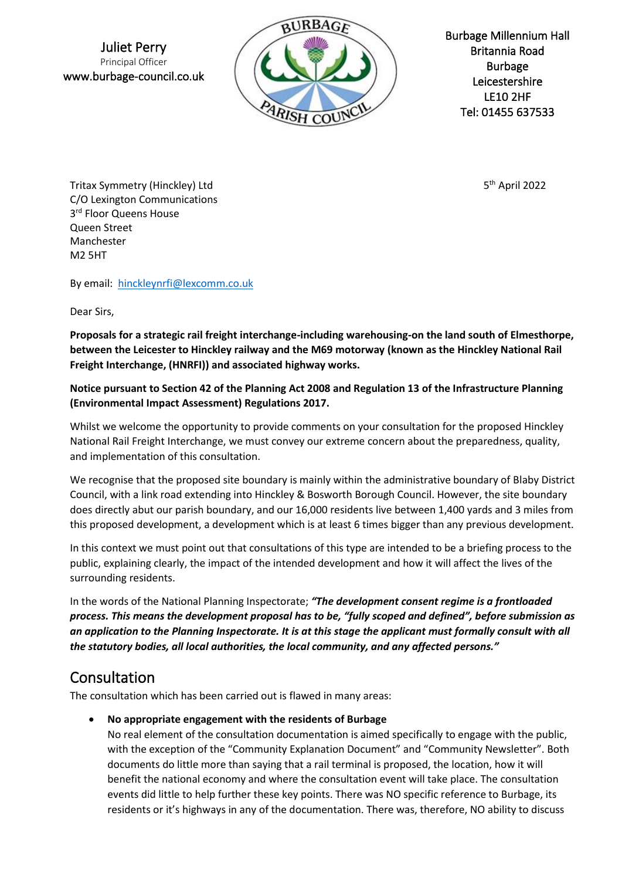Juliet Perry Principal Officer www.burbage-council.co.uk



Burbage Millennium Hall Britannia Road Burbage Leicestershire LE10 2HF [Tel: 01455](tel:01455) 637533

 $5<sup>th</sup>$  April 2022

Tritax Symmetry (Hinckley) Ltd 5 C/O Lexington Communications 3 rd Floor Queens House Queen Street Manchester M2 5HT

By email: [hinckleynrfi@lexcomm.co.uk](mailto:hinckleynrfi@lexcomm.co.uk)

Dear Sirs,

**Proposals for a strategic rail freight interchange-including warehousing-on the land south of Elmesthorpe, between the Leicester to Hinckley railway and the M69 motorway (known as the Hinckley National Rail Freight Interchange, (HNRFI)) and associated highway works.**

#### **Notice pursuant to Section 42 of the Planning Act 2008 and Regulation 13 of the Infrastructure Planning (Environmental Impact Assessment) Regulations 2017.**

Whilst we welcome the opportunity to provide comments on your consultation for the proposed Hinckley National Rail Freight Interchange, we must convey our extreme concern about the preparedness, quality, and implementation of this consultation.

We recognise that the proposed site boundary is mainly within the administrative boundary of Blaby District Council, with a link road extending into Hinckley & Bosworth Borough Council. However, the site boundary does directly abut our parish boundary, and our 16,000 residents live between 1,400 yards and 3 miles from this proposed development, a development which is at least 6 times bigger than any previous development.

In this context we must point out that consultations of this type are intended to be a briefing process to the public, explaining clearly, the impact of the intended development and how it will affect the lives of the surrounding residents.

In the words of the National Planning Inspectorate; *"The development consent regime is a frontloaded process. This means the development proposal has to be, "fully scoped and defined", before submission as an application to the Planning Inspectorate. It is at this stage the applicant must formally consult with all the statutory bodies, all local authorities, the local community, and any affected persons."*

# Consultation

The consultation which has been carried out is flawed in many areas:

• **No appropriate engagement with the residents of Burbage**

No real element of the consultation documentation is aimed specifically to engage with the public, with the exception of the "Community Explanation Document" and "Community Newsletter". Both documents do little more than saying that a rail terminal is proposed, the location, how it will benefit the national economy and where the consultation event will take place. The consultation events did little to help further these key points. There was NO specific reference to Burbage, its residents or it's highways in any of the documentation. There was, therefore, NO ability to discuss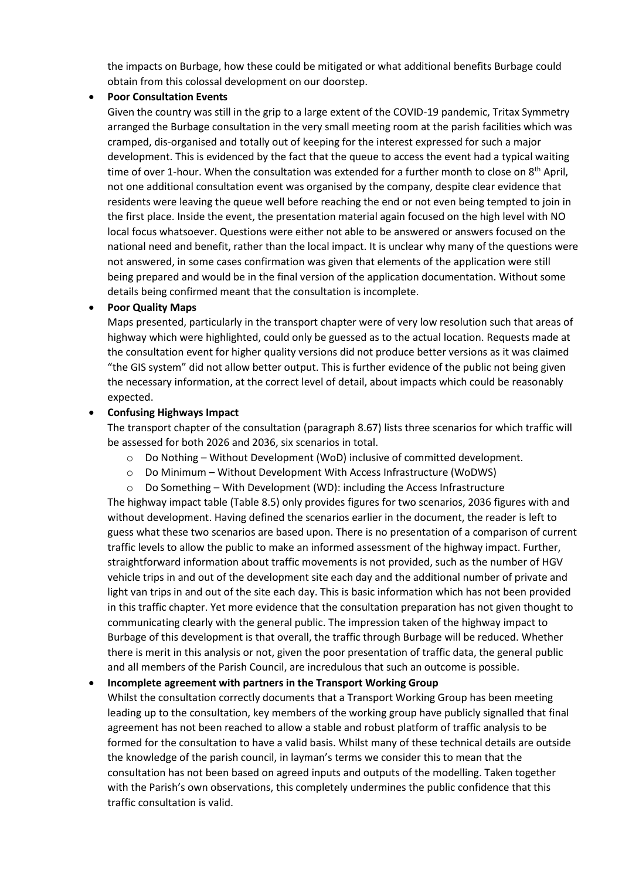the impacts on Burbage, how these could be mitigated or what additional benefits Burbage could obtain from this colossal development on our doorstep.

#### • **Poor Consultation Events**

Given the country was still in the grip to a large extent of the COVID-19 pandemic, Tritax Symmetry arranged the Burbage consultation in the very small meeting room at the parish facilities which was cramped, dis-organised and totally out of keeping for the interest expressed for such a major development. This is evidenced by the fact that the queue to access the event had a typical waiting time of over 1-hour. When the consultation was extended for a further month to close on  $8<sup>th</sup>$  April, not one additional consultation event was organised by the company, despite clear evidence that residents were leaving the queue well before reaching the end or not even being tempted to join in the first place. Inside the event, the presentation material again focused on the high level with NO local focus whatsoever. Questions were either not able to be answered or answers focused on the national need and benefit, rather than the local impact. It is unclear why many of the questions were not answered, in some cases confirmation was given that elements of the application were still being prepared and would be in the final version of the application documentation. Without some details being confirmed meant that the consultation is incomplete.

#### • **Poor Quality Maps**

Maps presented, particularly in the transport chapter were of very low resolution such that areas of highway which were highlighted, could only be guessed as to the actual location. Requests made at the consultation event for higher quality versions did not produce better versions as it was claimed "the GIS system" did not allow better output. This is further evidence of the public not being given the necessary information, at the correct level of detail, about impacts which could be reasonably expected.

#### • **Confusing Highways Impact**

The transport chapter of the consultation (paragraph 8.67) lists three scenarios for which traffic will be assessed for both 2026 and 2036, six scenarios in total.

- o Do Nothing Without Development (WoD) inclusive of committed development.
- o Do Minimum Without Development With Access Infrastructure (WoDWS)
- o Do Something With Development (WD): including the Access Infrastructure

The highway impact table (Table 8.5) only provides figures for two scenarios, 2036 figures with and without development. Having defined the scenarios earlier in the document, the reader is left to guess what these two scenarios are based upon. There is no presentation of a comparison of current traffic levels to allow the public to make an informed assessment of the highway impact. Further, straightforward information about traffic movements is not provided, such as the number of HGV vehicle trips in and out of the development site each day and the additional number of private and light van trips in and out of the site each day. This is basic information which has not been provided in this traffic chapter. Yet more evidence that the consultation preparation has not given thought to communicating clearly with the general public. The impression taken of the highway impact to Burbage of this development is that overall, the traffic through Burbage will be reduced. Whether there is merit in this analysis or not, given the poor presentation of traffic data, the general public and all members of the Parish Council, are incredulous that such an outcome is possible.

#### • **Incomplete agreement with partners in the Transport Working Group**

Whilst the consultation correctly documents that a Transport Working Group has been meeting leading up to the consultation, key members of the working group have publicly signalled that final agreement has not been reached to allow a stable and robust platform of traffic analysis to be formed for the consultation to have a valid basis. Whilst many of these technical details are outside the knowledge of the parish council, in layman's terms we consider this to mean that the consultation has not been based on agreed inputs and outputs of the modelling. Taken together with the Parish's own observations, this completely undermines the public confidence that this traffic consultation is valid.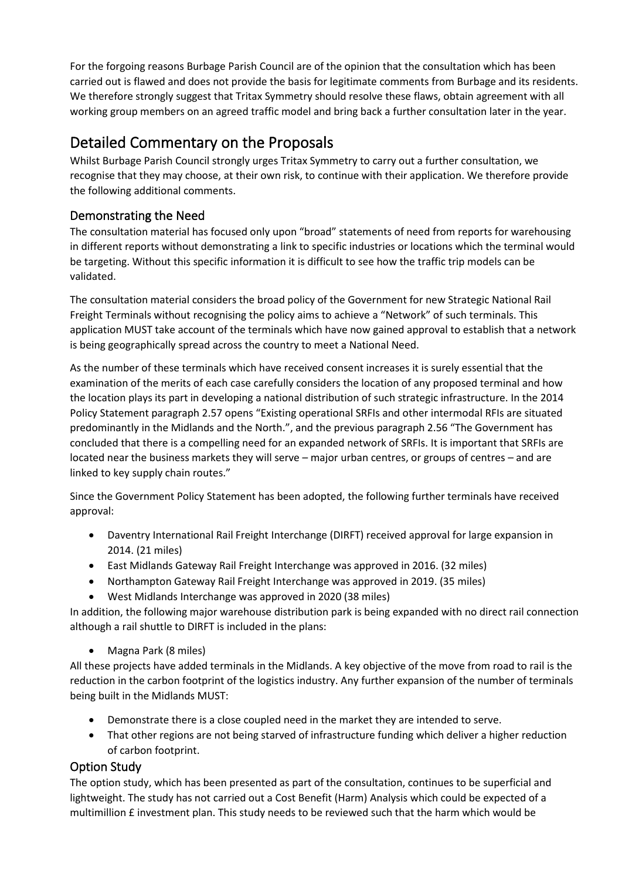For the forgoing reasons Burbage Parish Council are of the opinion that the consultation which has been carried out is flawed and does not provide the basis for legitimate comments from Burbage and its residents. We therefore strongly suggest that Tritax Symmetry should resolve these flaws, obtain agreement with all working group members on an agreed traffic model and bring back a further consultation later in the year.

# Detailed Commentary on the Proposals

Whilst Burbage Parish Council strongly urges Tritax Symmetry to carry out a further consultation, we recognise that they may choose, at their own risk, to continue with their application. We therefore provide the following additional comments.

# Demonstrating the Need

The consultation material has focused only upon "broad" statements of need from reports for warehousing in different reports without demonstrating a link to specific industries or locations which the terminal would be targeting. Without this specific information it is difficult to see how the traffic trip models can be validated.

The consultation material considers the broad policy of the Government for new Strategic National Rail Freight Terminals without recognising the policy aims to achieve a "Network" of such terminals. This application MUST take account of the terminals which have now gained approval to establish that a network is being geographically spread across the country to meet a National Need.

As the number of these terminals which have received consent increases it is surely essential that the examination of the merits of each case carefully considers the location of any proposed terminal and how the location plays its part in developing a national distribution of such strategic infrastructure. In the 2014 Policy Statement paragraph 2.57 opens "Existing operational SRFIs and other intermodal RFIs are situated predominantly in the Midlands and the North.", and the previous paragraph 2.56 "The Government has concluded that there is a compelling need for an expanded network of SRFIs. It is important that SRFIs are located near the business markets they will serve – major urban centres, or groups of centres – and are linked to key supply chain routes."

Since the Government Policy Statement has been adopted, the following further terminals have received approval:

- Daventry International Rail Freight Interchange (DIRFT) received approval for large expansion in 2014. (21 miles)
- East Midlands Gateway Rail Freight Interchange was approved in 2016. (32 miles)
- Northampton Gateway Rail Freight Interchange was approved in 2019. (35 miles)
- West Midlands Interchange was approved in 2020 (38 miles)

In addition, the following major warehouse distribution park is being expanded with no direct rail connection although a rail shuttle to DIRFT is included in the plans:

• Magna Park (8 miles)

All these projects have added terminals in the Midlands. A key objective of the move from road to rail is the reduction in the carbon footprint of the logistics industry. Any further expansion of the number of terminals being built in the Midlands MUST:

- Demonstrate there is a close coupled need in the market they are intended to serve.
- That other regions are not being starved of infrastructure funding which deliver a higher reduction of carbon footprint.

# Option Study

The option study, which has been presented as part of the consultation, continues to be superficial and lightweight. The study has not carried out a Cost Benefit (Harm) Analysis which could be expected of a multimillion £ investment plan. This study needs to be reviewed such that the harm which would be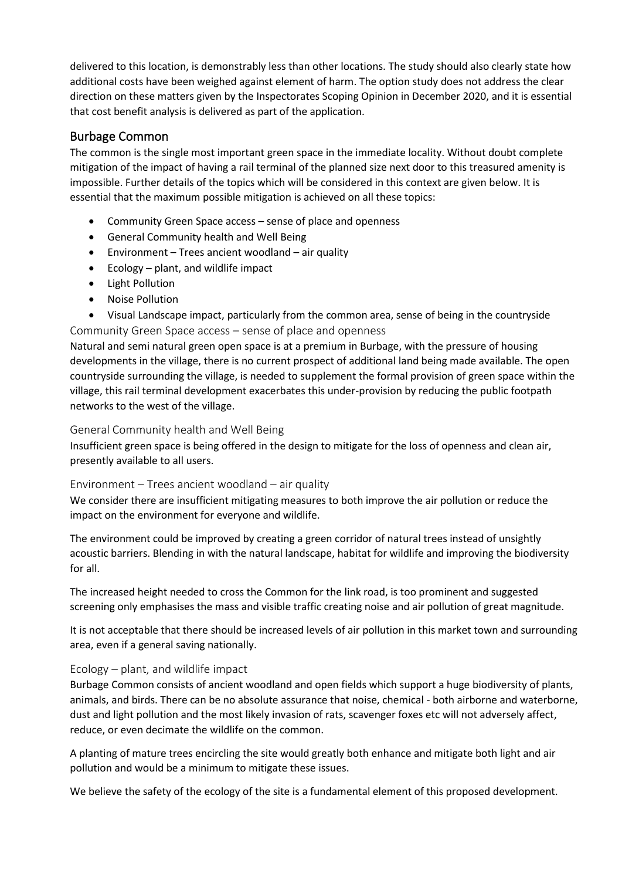delivered to this location, is demonstrably less than other locations. The study should also clearly state how additional costs have been weighed against element of harm. The option study does not address the clear direction on these matters given by the Inspectorates Scoping Opinion in December 2020, and it is essential that cost benefit analysis is delivered as part of the application.

# Burbage Common

The common is the single most important green space in the immediate locality. Without doubt complete mitigation of the impact of having a rail terminal of the planned size next door to this treasured amenity is impossible. Further details of the topics which will be considered in this context are given below. It is essential that the maximum possible mitigation is achieved on all these topics:

- Community Green Space access sense of place and openness
- General Community health and Well Being
- Environment Trees ancient woodland air quality
- Ecology plant, and wildlife impact
- Light Pollution
- Noise Pollution
- Visual Landscape impact, particularly from the common area, sense of being in the countryside Community Green Space access – sense of place and openness

Natural and semi natural green open space is at a premium in Burbage, with the pressure of housing developments in the village, there is no current prospect of additional land being made available. The open countryside surrounding the village, is needed to supplement the formal provision of green space within the village, this rail terminal development exacerbates this under-provision by reducing the public footpath networks to the west of the village.

#### General Community health and Well Being

Insufficient green space is being offered in the design to mitigate for the loss of openness and clean air, presently available to all users.

#### Environment – Trees ancient woodland – air quality

We consider there are insufficient mitigating measures to both improve the air pollution or reduce the impact on the environment for everyone and wildlife.

The environment could be improved by creating a green corridor of natural trees instead of unsightly acoustic barriers. Blending in with the natural landscape, habitat for wildlife and improving the biodiversity for all.

The increased height needed to cross the Common for the link road, is too prominent and suggested screening only emphasises the mass and visible traffic creating noise and air pollution of great magnitude.

It is not acceptable that there should be increased levels of air pollution in this market town and surrounding area, even if a general saving nationally.

#### Ecology – plant, and wildlife impact

Burbage Common consists of ancient woodland and open fields which support a huge biodiversity of plants, animals, and birds. There can be no absolute assurance that noise, chemical - both airborne and waterborne, dust and light pollution and the most likely invasion of rats, scavenger foxes etc will not adversely affect, reduce, or even decimate the wildlife on the common.

A planting of mature trees encircling the site would greatly both enhance and mitigate both light and air pollution and would be a minimum to mitigate these issues.

We believe the safety of the ecology of the site is a fundamental element of this proposed development.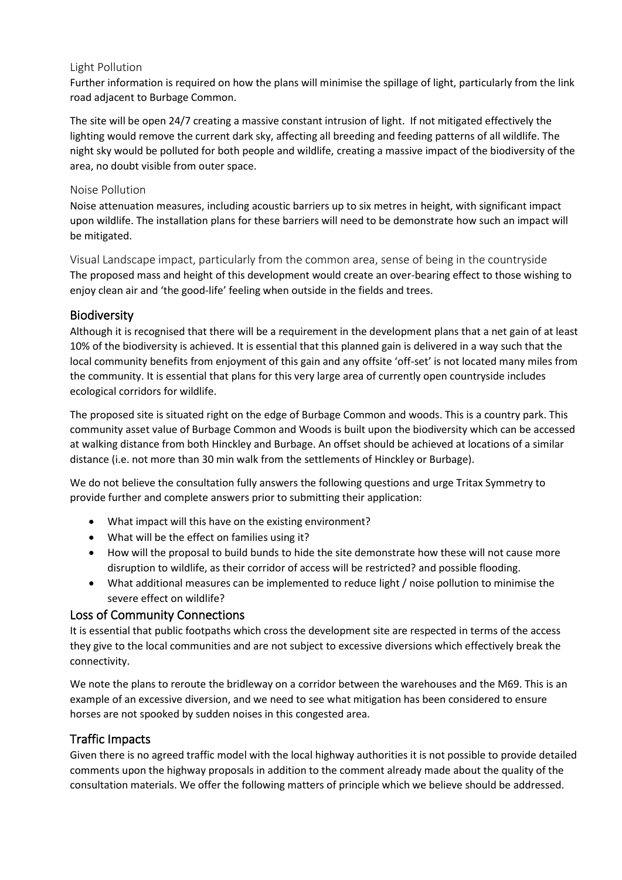#### Light Pollution

Further information is required on how the plans will minimise the spillage of light, particularly from the link road adjacent to Burbage Common.

The site will be open 24/7 creating a massive constant intrusion of light. If not mitigated effectively the lighting would remove the current dark sky, affecting all breeding and feeding patterns of all wildlife. The night sky would be polluted for both people and wildlife, creating a massive impact of the biodiversity of the area, no doubt visible from outer space.

#### Noise Pollution

Noise attenuation measures, including acoustic barriers up to six metres in height, with significant impact upon wildlife. The installation plans for these barriers will need to be demonstrate how such an impact will be mitigated.

Visual Landscape impact, particularly from the common area, sense of being in the countryside The proposed mass and height of this development would create an over-bearing effect to those wishing to enjoy clean air and 'the good-life' feeling when outside in the fields and trees.

## Biodiversity

Although it is recognised that there will be a requirement in the development plans that a net gain of at least 10% of the biodiversity is achieved. It is essential that this planned gain is delivered in a way such that the local community benefits from enjoyment of this gain and any offsite 'off-set' is not located many miles from the community. It is essential that plans for this very large area of currently open countryside includes ecological corridors for wildlife.

The proposed site is situated right on the edge of Burbage Common and woods. This is a country park. This community asset value of Burbage Common and Woods is built upon the biodiversity which can be accessed at walking distance from both Hinckley and Burbage. An offset should be achieved at locations of a similar distance (i.e. not more than 30 min walk from the settlements of Hinckley or Burbage).

We do not believe the consultation fully answers the following questions and urge Tritax Symmetry to provide further and complete answers prior to submitting their application:

- What impact will this have on the existing environment?
- What will be the effect on families using it?
- How will the proposal to build bunds to hide the site demonstrate how these will not cause more disruption to wildlife, as their corridor of access will be restricted? and possible flooding.
- What additional measures can be implemented to reduce light / noise pollution to minimise the severe effect on wildlife?

# Loss of Community Connections

It is essential that public footpaths which cross the development site are respected in terms of the access they give to the local communities and are not subject to excessive diversions which effectively break the connectivity.

We note the plans to reroute the bridleway on a corridor between the warehouses and the M69. This is an example of an excessive diversion, and we need to see what mitigation has been considered to ensure horses are not spooked by sudden noises in this congested area.

# Traffic Impacts

Given there is no agreed traffic model with the local highway authorities it is not possible to provide detailed comments upon the highway proposals in addition to the comment already made about the quality of the consultation materials. We offer the following matters of principle which we believe should be addressed.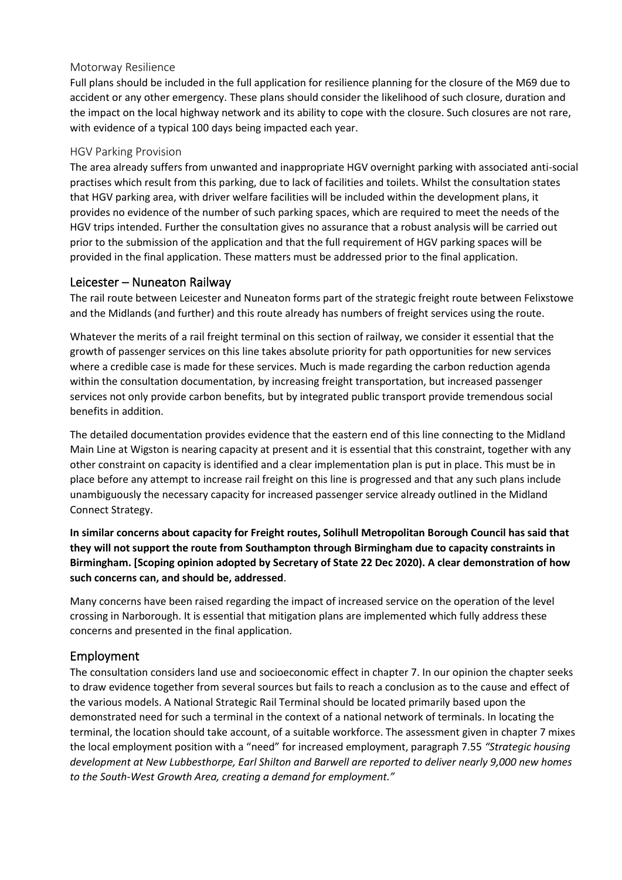#### Motorway Resilience

Full plans should be included in the full application for resilience planning for the closure of the M69 due to accident or any other emergency. These plans should consider the likelihood of such closure, duration and the impact on the local highway network and its ability to cope with the closure. Such closures are not rare, with evidence of a typical 100 days being impacted each year.

#### HGV Parking Provision

The area already suffers from unwanted and inappropriate HGV overnight parking with associated anti-social practises which result from this parking, due to lack of facilities and toilets. Whilst the consultation states that HGV parking area, with driver welfare facilities will be included within the development plans, it provides no evidence of the number of such parking spaces, which are required to meet the needs of the HGV trips intended. Further the consultation gives no assurance that a robust analysis will be carried out prior to the submission of the application and that the full requirement of HGV parking spaces will be provided in the final application. These matters must be addressed prior to the final application.

## Leicester – Nuneaton Railway

The rail route between Leicester and Nuneaton forms part of the strategic freight route between Felixstowe and the Midlands (and further) and this route already has numbers of freight services using the route.

Whatever the merits of a rail freight terminal on this section of railway, we consider it essential that the growth of passenger services on this line takes absolute priority for path opportunities for new services where a credible case is made for these services. Much is made regarding the carbon reduction agenda within the consultation documentation, by increasing freight transportation, but increased passenger services not only provide carbon benefits, but by integrated public transport provide tremendous social benefits in addition.

The detailed documentation provides evidence that the eastern end of this line connecting to the Midland Main Line at Wigston is nearing capacity at present and it is essential that this constraint, together with any other constraint on capacity is identified and a clear implementation plan is put in place. This must be in place before any attempt to increase rail freight on this line is progressed and that any such plans include unambiguously the necessary capacity for increased passenger service already outlined in the Midland Connect Strategy.

**In similar concerns about capacity for Freight routes, Solihull Metropolitan Borough Council has said that they will not support the route from Southampton through Birmingham due to capacity constraints in Birmingham. [Scoping opinion adopted by Secretary of State 22 Dec 2020). A clear demonstration of how such concerns can, and should be, addressed**.

Many concerns have been raised regarding the impact of increased service on the operation of the level crossing in Narborough. It is essential that mitigation plans are implemented which fully address these concerns and presented in the final application.

## Employment

The consultation considers land use and socioeconomic effect in chapter 7. In our opinion the chapter seeks to draw evidence together from several sources but fails to reach a conclusion as to the cause and effect of the various models. A National Strategic Rail Terminal should be located primarily based upon the demonstrated need for such a terminal in the context of a national network of terminals. In locating the terminal, the location should take account, of a suitable workforce. The assessment given in chapter 7 mixes the local employment position with a "need" for increased employment, paragraph 7.55 *"Strategic housing development at New Lubbesthorpe, Earl Shilton and Barwell are reported to deliver nearly 9,000 new homes to the South-West Growth Area, creating a demand for employment."*